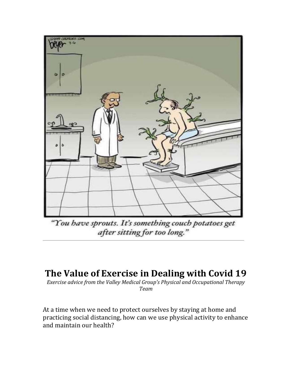

"You have sprouts. It's something couch potatoes get after sitting for too long."

# **The Value of Exercise in Dealing with Covid 19**

*Exercise advice from the Valley Medical Group's Physical and Occupational Therapy Team*

At a time when we need to protect ourselves by staying at home and practicing social distancing, how can we use physical activity to enhance and maintain our health?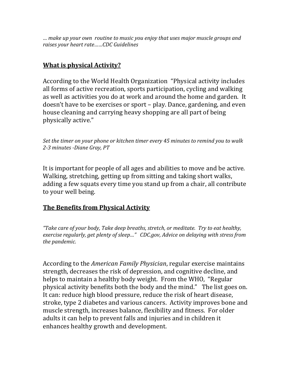*… make up your own routine to music you enjoy that uses major muscle groups and raises your heart rate……CDC Guidelines*

## **What is physical Activity?**

According to the World Health Organization "Physical activity includes all forms of active recreation, sports participation, cycling and walking as well as activities you do at work and around the home and garden. It doesn't have to be exercises or sport – play. Dance, gardening, and even house cleaning and carrying heavy shopping are all part of being physically active."

*Set the timer on your phone or kitchen timer every 45 minutes to remind you to walk 2-3 minutes -Diane Gray, PT*

It is important for people of all ages and abilities to move and be active. Walking, stretching, getting up from sitting and taking short walks, adding a few squats every time you stand up from a chair, all contribute to your well being.

#### **The Benefits from Physical Activity**

*"Take care of your body, Take deep breaths, stretch, or meditate. Try to eat healthy, exercise regularly, get plenty of sleep…" CDC.gov, Advice on delaying with stress from the pandemic.*

According to the *American Family Physician*, regular exercise maintains strength, decreases the risk of depression, and cognitive decline, and helps to maintain a healthy body weight. From the WHO, "Regular physical activity benefits both the body and the mind." The list goes on. It can: reduce high blood pressure, reduce the risk of heart disease, stroke, type 2 diabetes and various cancers. Activity improves bone and muscle strength, increases balance, flexibility and fitness. For older adults it can help to prevent falls and injuries and in children it enhances healthy growth and development.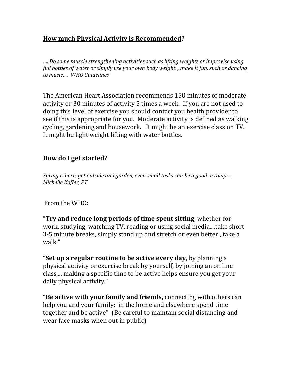## **How much Physical Activity is Recommended?**

*…. Do some muscle strengthening activities such as lifting weights or improvise using full bottles of water or simply use your own body weight.., make it fun, such as dancing to music…. WHO Guidelines*

The American Heart Association recommends 150 minutes of moderate activity or 30 minutes of activity 5 times a week. If you are not used to doing this level of exercise you should contact you health provider to see if this is appropriate for you. Moderate activity is defined as walking cycling, gardening and housework. It might be an exercise class on TV. It might be light weight lifting with water bottles.

### **How do I get started?**

*Spring is here, get outside and garden, even small tasks can be a good activity…, Michelle Kofler, PT*

From the WHO:

"**Try and reduce long periods of time spent sitting**, whether for work, studying, watching TV, reading or using social media,...take short 3-5 minute breaks, simply stand up and stretch or even better , take a walk."

**"Set up a regular routine to be active every day**, by planning a physical activity or exercise break by yourself, by joining an on line class,... making a specific time to be active helps ensure you get your daily physical activity."

**"Be active with your family and friends,** connecting with others can help you and your family: in the home and elsewhere spend time together and be active" (Be careful to maintain social distancing and wear face masks when out in public)